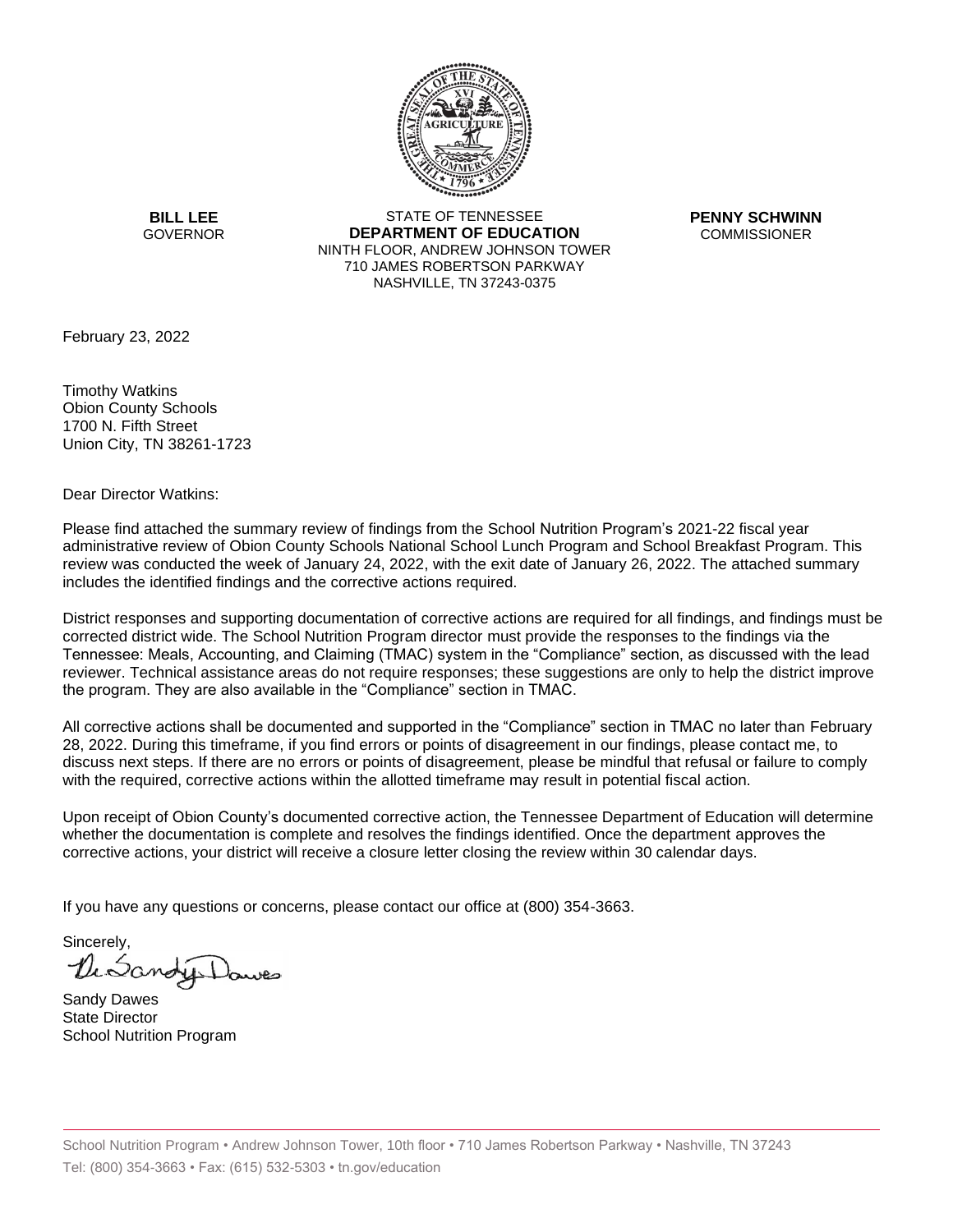

**BILL LEE GOVERNOR** 

STATE OF TENNESSEE **DEPARTMENT OF EDUCATION** NINTH FLOOR, ANDREW JOHNSON TOWER 710 JAMES ROBERTSON PARKWAY NASHVILLE, TN 37243-0375

**PENNY SCHWINN COMMISSIONER** 

February 23, 2022

Timothy Watkins Obion County Schools 1700 N. Fifth Street Union City, TN 38261-1723

Dear Director Watkins:

Please find attached the summary review of findings from the School Nutrition Program's 2021-22 fiscal year administrative review of Obion County Schools National School Lunch Program and School Breakfast Program. This review was conducted the week of January 24, 2022, with the exit date of January 26, 2022. The attached summary includes the identified findings and the corrective actions required.

District responses and supporting documentation of corrective actions are required for all findings, and findings must be corrected district wide. The School Nutrition Program director must provide the responses to the findings via the Tennessee: Meals, Accounting, and Claiming (TMAC) system in the "Compliance" section, as discussed with the lead reviewer. Technical assistance areas do not require responses; these suggestions are only to help the district improve the program. They are also available in the "Compliance" section in TMAC.

All corrective actions shall be documented and supported in the "Compliance" section in TMAC no later than February 28, 2022. During this timeframe, if you find errors or points of disagreement in our findings, please contact me, to discuss next steps. If there are no errors or points of disagreement, please be mindful that refusal or failure to comply with the required, corrective actions within the allotted timeframe may result in potential fiscal action.

Upon receipt of Obion County's documented corrective action, the Tennessee Department of Education will determine whether the documentation is complete and resolves the findings identified. Once the department approves the corrective actions, your district will receive a closure letter closing the review within 30 calendar days.

If you have any questions or concerns, please contact our office at (800) 354-3663.

Sincerely, DiSano

Sandy Dawes State Director School Nutrition Program